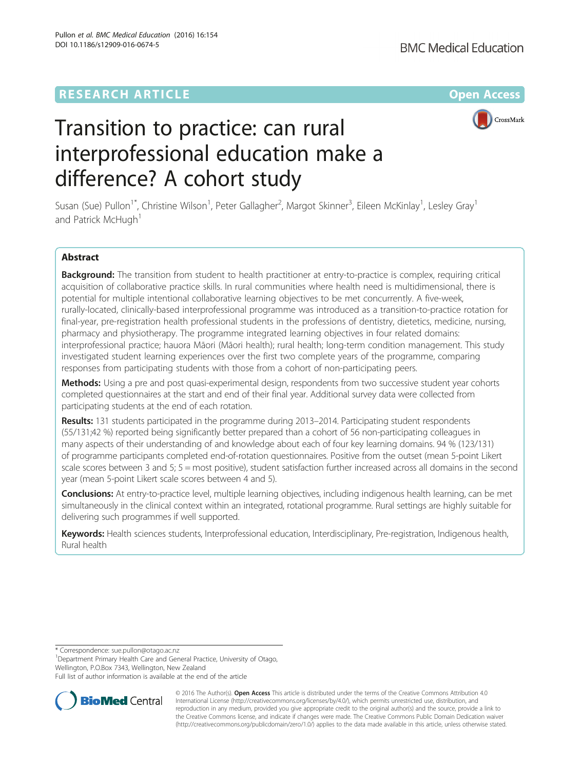## **RESEARCH ARTICLE Example 2014 12:30 The Company Access** (RESEARCH ARTICLE



# Transition to practice: can rural interprofessional education make a difference? A cohort study

Susan (Sue) Pullon<sup>1\*</sup>, Christine Wilson<sup>1</sup>, Peter Gallagher<sup>2</sup>, Margot Skinner<sup>3</sup>, Eileen McKinlay<sup>1</sup>, Lesley Gray<sup>1</sup> and Patrick McHugh<sup>1</sup>

## Abstract

Background: The transition from student to health practitioner at entry-to-practice is complex, requiring critical acquisition of collaborative practice skills. In rural communities where health need is multidimensional, there is potential for multiple intentional collaborative learning objectives to be met concurrently. A five-week, rurally-located, clinically-based interprofessional programme was introduced as a transition-to-practice rotation for final-year, pre-registration health professional students in the professions of dentistry, dietetics, medicine, nursing, pharmacy and physiotherapy. The programme integrated learning objectives in four related domains: interprofessional practice; hauora Māori (Māori health); rural health; long-term condition management. This study investigated student learning experiences over the first two complete years of the programme, comparing responses from participating students with those from a cohort of non-participating peers.

Methods: Using a pre and post quasi-experimental design, respondents from two successive student year cohorts completed questionnaires at the start and end of their final year. Additional survey data were collected from participating students at the end of each rotation.

Results: 131 students participated in the programme during 2013–2014. Participating student respondents (55/131;42 %) reported being significantly better prepared than a cohort of 56 non-participating colleagues in many aspects of their understanding of and knowledge about each of four key learning domains. 94 % (123/131) of programme participants completed end-of-rotation questionnaires. Positive from the outset (mean 5-point Likert scale scores between 3 and 5; 5 = most positive), student satisfaction further increased across all domains in the second year (mean 5-point Likert scale scores between 4 and 5).

**Conclusions:** At entry-to-practice level, multiple learning objectives, including indigenous health learning, can be met simultaneously in the clinical context within an integrated, rotational programme. Rural settings are highly suitable for delivering such programmes if well supported.

Keywords: Health sciences students, Interprofessional education, Interdisciplinary, Pre-registration, Indigenous health, Rural health

\* Correspondence: [sue.pullon@otago.ac.nz](mailto:sue.pullon@otago.ac.nz) <sup>1</sup>

<sup>1</sup>Department Primary Health Care and General Practice, University of Otago, Wellington, P.O.Box 7343, Wellington, New Zealand

Full list of author information is available at the end of the article



© 2016 The Author(s). Open Access This article is distributed under the terms of the Creative Commons Attribution 4.0 International License [\(http://creativecommons.org/licenses/by/4.0/](http://creativecommons.org/licenses/by/4.0/)), which permits unrestricted use, distribution, and reproduction in any medium, provided you give appropriate credit to the original author(s) and the source, provide a link to the Creative Commons license, and indicate if changes were made. The Creative Commons Public Domain Dedication waiver [\(http://creativecommons.org/publicdomain/zero/1.0/](http://creativecommons.org/publicdomain/zero/1.0/)) applies to the data made available in this article, unless otherwise stated.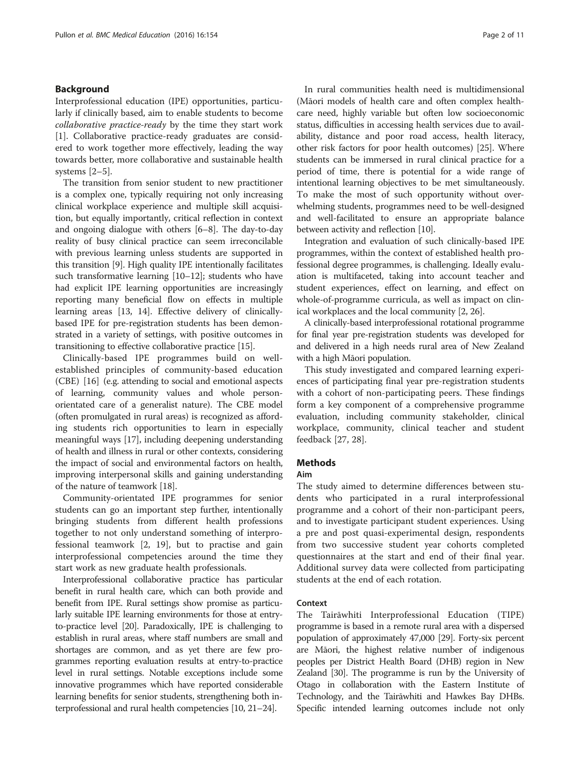## Background

Interprofessional education (IPE) opportunities, particularly if clinically based, aim to enable students to become collaborative practice-ready by the time they start work [[1\]](#page-9-0). Collaborative practice-ready graduates are considered to work together more effectively, leading the way towards better, more collaborative and sustainable health systems [\[2](#page-9-0)–[5](#page-9-0)].

The transition from senior student to new practitioner is a complex one, typically requiring not only increasing clinical workplace experience and multiple skill acquisition, but equally importantly, critical reflection in context and ongoing dialogue with others [\[6](#page-9-0)–[8\]](#page-9-0). The day-to-day reality of busy clinical practice can seem irreconcilable with previous learning unless students are supported in this transition [\[9](#page-9-0)]. High quality IPE intentionally facilitates such transformative learning [\[10](#page-9-0)–[12](#page-9-0)]; students who have had explicit IPE learning opportunities are increasingly reporting many beneficial flow on effects in multiple learning areas [\[13, 14](#page-9-0)]. Effective delivery of clinicallybased IPE for pre-registration students has been demonstrated in a variety of settings, with positive outcomes in transitioning to effective collaborative practice [\[15\]](#page-9-0).

Clinically-based IPE programmes build on wellestablished principles of community-based education (CBE) [[16\]](#page-9-0) (e.g. attending to social and emotional aspects of learning, community values and whole personorientated care of a generalist nature). The CBE model (often promulgated in rural areas) is recognized as affording students rich opportunities to learn in especially meaningful ways [\[17\]](#page-9-0), including deepening understanding of health and illness in rural or other contexts, considering the impact of social and environmental factors on health, improving interpersonal skills and gaining understanding of the nature of teamwork [\[18\]](#page-9-0).

Community-orientated IPE programmes for senior students can go an important step further, intentionally bringing students from different health professions together to not only understand something of interprofessional teamwork [\[2](#page-9-0), [19](#page-9-0)], but to practise and gain interprofessional competencies around the time they start work as new graduate health professionals.

Interprofessional collaborative practice has particular benefit in rural health care, which can both provide and benefit from IPE. Rural settings show promise as particularly suitable IPE learning environments for those at entryto-practice level [\[20\]](#page-9-0). Paradoxically, IPE is challenging to establish in rural areas, where staff numbers are small and shortages are common, and as yet there are few programmes reporting evaluation results at entry-to-practice level in rural settings. Notable exceptions include some innovative programmes which have reported considerable learning benefits for senior students, strengthening both interprofessional and rural health competencies [\[10, 21](#page-9-0)–[24](#page-9-0)].

In rural communities health need is multidimensional (Māori models of health care and often complex healthcare need, highly variable but often low socioeconomic status, difficulties in accessing health services due to availability, distance and poor road access, health literacy, other risk factors for poor health outcomes) [[25](#page-10-0)]. Where students can be immersed in rural clinical practice for a period of time, there is potential for a wide range of intentional learning objectives to be met simultaneously. To make the most of such opportunity without overwhelming students, programmes need to be well-designed and well-facilitated to ensure an appropriate balance between activity and reflection [\[10](#page-9-0)].

Integration and evaluation of such clinically-based IPE programmes, within the context of established health professional degree programmes, is challenging. Ideally evaluation is multifaceted, taking into account teacher and student experiences, effect on learning, and effect on whole-of-programme curricula, as well as impact on clinical workplaces and the local community [\[2](#page-9-0), [26\]](#page-10-0).

A clinically-based interprofessional rotational programme for final year pre-registration students was developed for and delivered in a high needs rural area of New Zealand with a high Māori population.

This study investigated and compared learning experiences of participating final year pre-registration students with a cohort of non-participating peers. These findings form a key component of a comprehensive programme evaluation, including community stakeholder, clinical workplace, community, clinical teacher and student feedback [[27](#page-10-0), [28](#page-10-0)].

## Methods

## Aim

The study aimed to determine differences between students who participated in a rural interprofessional programme and a cohort of their non-participant peers, and to investigate participant student experiences. Using a pre and post quasi-experimental design, respondents from two successive student year cohorts completed questionnaires at the start and end of their final year. Additional survey data were collected from participating students at the end of each rotation.

## Context

The Tairāwhiti Interprofessional Education (TIPE) programme is based in a remote rural area with a dispersed population of approximately 47,000 [\[29](#page-10-0)]. Forty-six percent are Māori, the highest relative number of indigenous peoples per District Health Board (DHB) region in New Zealand [[30](#page-10-0)]. The programme is run by the University of Otago in collaboration with the Eastern Institute of Technology, and the Tairāwhiti and Hawkes Bay DHBs. Specific intended learning outcomes include not only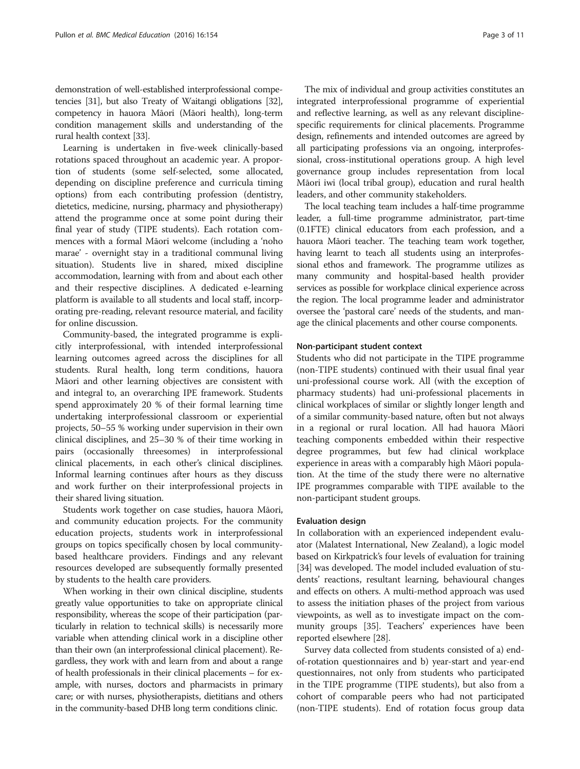demonstration of well-established interprofessional competencies [[31\]](#page-10-0), but also Treaty of Waitangi obligations [\[32](#page-10-0)], competency in hauora Māori (Māori health), long-term condition management skills and understanding of the rural health context [\[33\]](#page-10-0).

Learning is undertaken in five-week clinically-based rotations spaced throughout an academic year. A proportion of students (some self-selected, some allocated, depending on discipline preference and curricula timing options) from each contributing profession (dentistry, dietetics, medicine, nursing, pharmacy and physiotherapy) attend the programme once at some point during their final year of study (TIPE students). Each rotation commences with a formal Māori welcome (including a 'noho marae' - overnight stay in a traditional communal living situation). Students live in shared, mixed discipline accommodation, learning with from and about each other and their respective disciplines. A dedicated e-learning platform is available to all students and local staff, incorporating pre-reading, relevant resource material, and facility for online discussion.

Community-based, the integrated programme is explicitly interprofessional, with intended interprofessional learning outcomes agreed across the disciplines for all students. Rural health, long term conditions, hauora Māori and other learning objectives are consistent with and integral to, an overarching IPE framework. Students spend approximately 20 % of their formal learning time undertaking interprofessional classroom or experiential projects, 50–55 % working under supervision in their own clinical disciplines, and 25–30 % of their time working in pairs (occasionally threesomes) in interprofessional clinical placements, in each other's clinical disciplines. Informal learning continues after hours as they discuss and work further on their interprofessional projects in their shared living situation.

Students work together on case studies, hauora Māori, and community education projects. For the community education projects, students work in interprofessional groups on topics specifically chosen by local communitybased healthcare providers. Findings and any relevant resources developed are subsequently formally presented by students to the health care providers.

When working in their own clinical discipline, students greatly value opportunities to take on appropriate clinical responsibility, whereas the scope of their participation (particularly in relation to technical skills) is necessarily more variable when attending clinical work in a discipline other than their own (an interprofessional clinical placement). Regardless, they work with and learn from and about a range of health professionals in their clinical placements – for example, with nurses, doctors and pharmacists in primary care; or with nurses, physiotherapists, dietitians and others in the community-based DHB long term conditions clinic.

The mix of individual and group activities constitutes an integrated interprofessional programme of experiential and reflective learning, as well as any relevant disciplinespecific requirements for clinical placements. Programme design, refinements and intended outcomes are agreed by all participating professions via an ongoing, interprofessional, cross-institutional operations group. A high level governance group includes representation from local Māori iwi (local tribal group), education and rural health leaders, and other community stakeholders.

The local teaching team includes a half-time programme leader, a full-time programme administrator, part-time (0.1FTE) clinical educators from each profession, and a hauora Māori teacher. The teaching team work together, having learnt to teach all students using an interprofessional ethos and framework. The programme utilizes as many community and hospital-based health provider services as possible for workplace clinical experience across the region. The local programme leader and administrator oversee the 'pastoral care' needs of the students, and manage the clinical placements and other course components.

## Non-participant student context

Students who did not participate in the TIPE programme (non-TIPE students) continued with their usual final year uni-professional course work. All (with the exception of pharmacy students) had uni-professional placements in clinical workplaces of similar or slightly longer length and of a similar community-based nature, often but not always in a regional or rural location. All had hauora Māori teaching components embedded within their respective degree programmes, but few had clinical workplace experience in areas with a comparably high Māori population. At the time of the study there were no alternative IPE programmes comparable with TIPE available to the non-participant student groups.

## Evaluation design

In collaboration with an experienced independent evaluator (Malatest International, New Zealand), a logic model based on Kirkpatrick's four levels of evaluation for training [[34](#page-10-0)] was developed. The model included evaluation of students' reactions, resultant learning, behavioural changes and effects on others. A multi-method approach was used to assess the initiation phases of the project from various viewpoints, as well as to investigate impact on the community groups [\[35](#page-10-0)]. Teachers' experiences have been reported elsewhere [\[28\]](#page-10-0).

Survey data collected from students consisted of a) endof-rotation questionnaires and b) year-start and year-end questionnaires, not only from students who participated in the TIPE programme (TIPE students), but also from a cohort of comparable peers who had not participated (non-TIPE students). End of rotation focus group data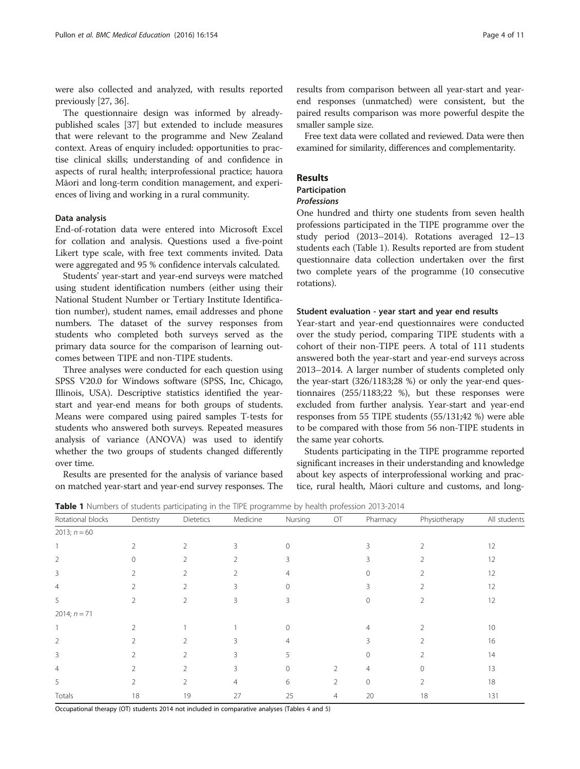were also collected and analyzed, with results reported previously [\[27, 36](#page-10-0)].

The questionnaire design was informed by alreadypublished scales [\[37](#page-10-0)] but extended to include measures that were relevant to the programme and New Zealand context. Areas of enquiry included: opportunities to practise clinical skills; understanding of and confidence in aspects of rural health; interprofessional practice; hauora Māori and long-term condition management, and experiences of living and working in a rural community.

## Data analysis

End-of-rotation data were entered into Microsoft Excel for collation and analysis. Questions used a five-point Likert type scale, with free text comments invited. Data were aggregated and 95 % confidence intervals calculated.

Students' year-start and year-end surveys were matched using student identification numbers (either using their National Student Number or Tertiary Institute Identification number), student names, email addresses and phone numbers. The dataset of the survey responses from students who completed both surveys served as the primary data source for the comparison of learning outcomes between TIPE and non-TIPE students.

Three analyses were conducted for each question using SPSS V20.0 for Windows software (SPSS, Inc, Chicago, Illinois, USA). Descriptive statistics identified the yearstart and year-end means for both groups of students. Means were compared using paired samples T-tests for students who answered both surveys. Repeated measures analysis of variance (ANOVA) was used to identify whether the two groups of students changed differently over time.

Results are presented for the analysis of variance based on matched year-start and year-end survey responses. The

results from comparison between all year-start and yearend responses (unmatched) were consistent, but the paired results comparison was more powerful despite the smaller sample size.

Free text data were collated and reviewed. Data were then examined for similarity, differences and complementarity.

## Results

## Participation

### Professions

One hundred and thirty one students from seven health professions participated in the TIPE programme over the study period (2013–2014). Rotations averaged 12–13 students each (Table 1). Results reported are from student questionnaire data collection undertaken over the first two complete years of the programme (10 consecutive rotations).

## Student evaluation - year start and year end results

Year-start and year-end questionnaires were conducted over the study period, comparing TIPE students with a cohort of their non-TIPE peers. A total of 111 students answered both the year-start and year-end surveys across 2013–2014. A larger number of students completed only the year-start (326/1183;28 %) or only the year-end questionnaires (255/1183;22 %), but these responses were excluded from further analysis. Year-start and year-end responses from 55 TIPE students (55/131;42 %) were able to be compared with those from 56 non-TIPE students in the same year cohorts.

Students participating in the TIPE programme reported significant increases in their understanding and knowledge about key aspects of interprofessional working and practice, rural health, Māori culture and customs, and long-

**Table 1** Numbers of students participating in the TIPE programme by health profession 2013-2014

| <b>TWHE I</b> indifferent of students participating in the fire programme by nearly protession 2013 2014 |           |               |          |              |    |          |               |              |  |  |
|----------------------------------------------------------------------------------------------------------|-----------|---------------|----------|--------------|----|----------|---------------|--------------|--|--|
| Rotational blocks                                                                                        | Dentistry | Dietetics     | Medicine | Nursing      | OT | Pharmacy | Physiotherapy | All students |  |  |
| 2013; $n = 60$                                                                                           |           |               |          |              |    |          |               |              |  |  |
|                                                                                                          |           | 2             | Β        | $\Omega$     |    |          |               | 12           |  |  |
|                                                                                                          |           |               |          | 3            |    |          |               | 12           |  |  |
| ζ                                                                                                        |           |               |          | 4            |    |          |               | 12           |  |  |
| $\overline{4}$                                                                                           |           | $\mathcal{P}$ | 3        | $\Omega$     |    | ς        |               | 12           |  |  |
| 5                                                                                                        |           |               | 3        |              |    |          |               | 12           |  |  |
| 2014; $n = 71$                                                                                           |           |               |          |              |    |          |               |              |  |  |
|                                                                                                          |           |               |          | $\Omega$     |    | 4        |               | 10           |  |  |
| $\mathfrak{D}$                                                                                           |           |               | ς        | 4            |    |          |               | 16           |  |  |
| 3                                                                                                        |           |               | ζ        | 5            |    |          |               | 14           |  |  |
| $\overline{4}$                                                                                           |           |               | ζ        | $\mathbf{0}$ | 2  | 4        |               | 13           |  |  |
| 5                                                                                                        |           |               | 4        | 6            |    | 0        |               | 18           |  |  |
| Totals                                                                                                   | 18        | 19            | 27       | 25           | 4  | 20       | 18            | 131          |  |  |

Occupational therapy (OT) students 2014 not included in comparative analyses (Tables [4](#page-6-0) and [5\)](#page-7-0)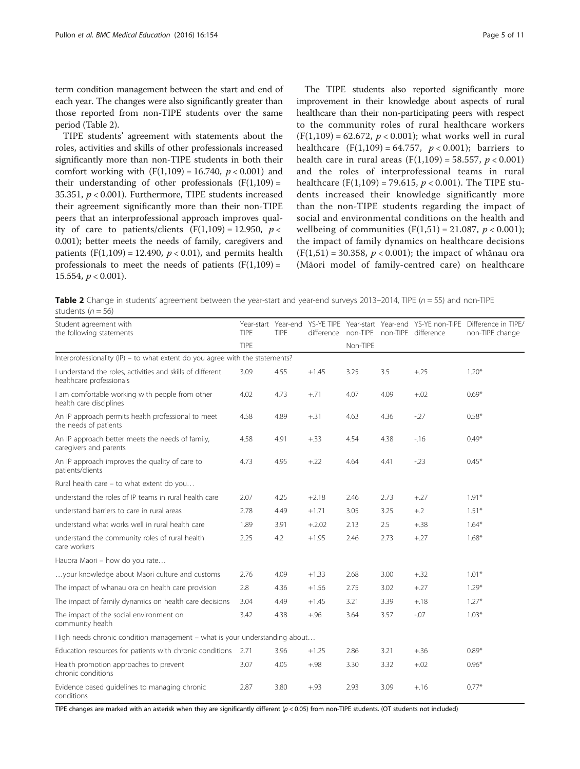term condition management between the start and end of each year. The changes were also significantly greater than those reported from non-TIPE students over the same period (Table 2).

TIPE students' agreement with statements about the roles, activities and skills of other professionals increased significantly more than non-TIPE students in both their comfort working with  $(F(1,109) = 16.740, p < 0.001)$  and their understanding of other professionals  $(F(1,109)) =$ 35.351, p < 0.001). Furthermore, TIPE students increased their agreement significantly more than their non-TIPE peers that an interprofessional approach improves quality of care to patients/clients  $(F(1,109) = 12.950, p <$ 0.001); better meets the needs of family, caregivers and patients  $(F(1,109) = 12.490, p < 0.01)$ , and permits health professionals to meet the needs of patients  $(F(1,109)) =$ 15.554,  $p < 0.001$ ).

The TIPE students also reported significantly more improvement in their knowledge about aspects of rural healthcare than their non-participating peers with respect to the community roles of rural healthcare workers  $(F(1,109) = 62.672, p < 0.001)$ ; what works well in rural healthcare  $(F(1,109) = 64.757, p < 0.001)$ ; barriers to health care in rural areas  $(F(1,109) = 58.557, p < 0.001)$ and the roles of interprofessional teams in rural healthcare (F(1,109) = 79.615,  $p < 0.001$ ). The TIPE students increased their knowledge significantly more than the non-TIPE students regarding the impact of social and environmental conditions on the health and wellbeing of communities  $(F(1,51) = 21.087, p < 0.001)$ ; the impact of family dynamics on healthcare decisions  $(F(1,51) = 30.358, p < 0.001)$ ; the impact of whānau ora (Māori model of family-centred care) on healthcare

**Table 2** Change in students' agreement between the year-start and year-end surveys 2013–2014, TIPE ( $n = 55$ ) and non-TIPE students ( $n = 56$ )

| Student agreement with<br>the following statements                                     | <b>TIPF</b>             | Year-start Year-end<br><b>TIPF</b> | difference | non-TIPE |      | YS-YE TIPE Year-start Year-end YS-YE non-TIPE<br>non-TIPE difference | Difference in TIPE<br>non-TIPE change |
|----------------------------------------------------------------------------------------|-------------------------|------------------------------------|------------|----------|------|----------------------------------------------------------------------|---------------------------------------|
|                                                                                        | <b>TIPF</b><br>Non-TIPE |                                    |            |          |      |                                                                      |                                       |
| Interprofessionality (IP) – to what extent do you agree with the statements?           |                         |                                    |            |          |      |                                                                      |                                       |
| I understand the roles, activities and skills of different<br>healthcare professionals | 3.09                    | 4.55                               | $+1.45$    | 3.25     | 3.5  | $+.25$                                                               | $1.20*$                               |
| I am comfortable working with people from other<br>health care disciplines             | 4.02                    | 4.73                               | $+.71$     | 4.07     | 4.09 | $+.02$                                                               | $0.69*$                               |
| An IP approach permits health professional to meet<br>the needs of patients            | 4.58                    | 4.89                               | $+.31$     | 4.63     | 4.36 | $-27$                                                                | $0.58*$                               |
| An IP approach better meets the needs of family,<br>caregivers and parents             | 4.58                    | 4.91                               | $+.33$     | 4.54     | 4.38 | $-16$                                                                | $0.49*$                               |
| An IP approach improves the quality of care to<br>patients/clients                     | 4.73                    | 4.95                               | $+.22$     | 4.64     | 4.41 | $-23$                                                                | $0.45*$                               |
| Rural health care - to what extent do you                                              |                         |                                    |            |          |      |                                                                      |                                       |
| understand the roles of IP teams in rural health care                                  | 2.07                    | 4.25                               | $+2.18$    | 2.46     | 2.73 | $+.27$                                                               | $1.91*$                               |
| understand barriers to care in rural areas                                             | 2.78                    | 4.49                               | $+1.71$    | 3.05     | 3.25 | $+.2$                                                                | $1.51*$                               |
| understand what works well in rural health care                                        | 1.89                    | 3.91                               | $+.2.02$   | 2.13     | 2.5  | $+.38$                                                               | $1.64*$                               |
| understand the community roles of rural health<br>care workers                         | 2.25                    | 4.2                                | $+1.95$    | 2.46     | 2.73 | $+.27$                                                               | $1.68*$                               |
| Hauora Maori - how do you rate                                                         |                         |                                    |            |          |      |                                                                      |                                       |
| your knowledge about Maori culture and customs                                         | 2.76                    | 4.09                               | $+1.33$    | 2.68     | 3.00 | $+.32$                                                               | $1.01*$                               |
| The impact of whanau ora on health care provision                                      | 2.8                     | 4.36                               | $+1.56$    | 2.75     | 3.02 | $+.27$                                                               | $1.29*$                               |
| The impact of family dynamics on health care decisions                                 | 3.04                    | 4.49                               | $+1.45$    | 3.21     | 3.39 | $+.18$                                                               | $1.27*$                               |
| The impact of the social environment on<br>community health                            | 3.42                    | 4.38                               | $+.96$     | 3.64     | 3.57 | $-.07$                                                               | $1.03*$                               |
| High needs chronic condition management - what is your understanding about             |                         |                                    |            |          |      |                                                                      |                                       |
| Education resources for patients with chronic conditions                               | 2.71                    | 3.96                               | $+1.25$    | 2.86     | 3.21 | $+.36$                                                               | $0.89*$                               |
| Health promotion approaches to prevent<br>chronic conditions                           | 3.07                    | 4.05                               | $+.98$     | 3.30     | 3.32 | $+.02$                                                               | $0.96*$                               |
| Evidence based quidelines to managing chronic<br>conditions                            | 2.87                    | 3.80                               | $+.93$     | 2.93     | 3.09 | $+.16$                                                               | $0.77*$                               |

TIPE changes are marked with an asterisk when they are significantly different  $(p < 0.05)$  from non-TIPE students. (OT students not included)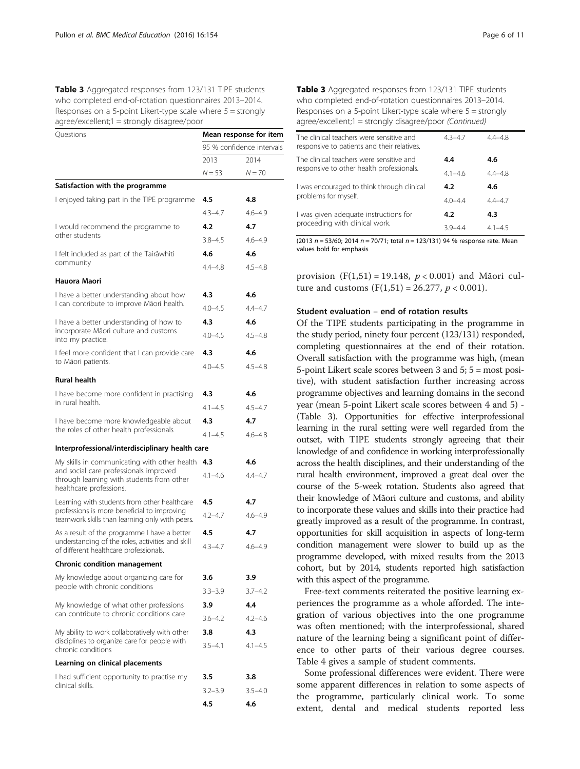Table 3 Aggregated responses from 123/131 TIPE students who completed end-of-rotation questionnaires 2013–2014. Responses on a 5-point Likert-type scale where 5 = strongly agree/excellent;1 = strongly disagree/poor

| ◡<br>Questions                                                                                                 | Mean response for item |                           |  |  |
|----------------------------------------------------------------------------------------------------------------|------------------------|---------------------------|--|--|
|                                                                                                                |                        | 95 % confidence intervals |  |  |
|                                                                                                                | 2013                   | 2014                      |  |  |
|                                                                                                                | $N = 53$               | $N = 70$                  |  |  |
| Satisfaction with the programme                                                                                |                        |                           |  |  |
| I enjoyed taking part in the TIPE programme                                                                    | 4.5                    | 4.8                       |  |  |
|                                                                                                                | $4.3 - 4.7$            | $4.6 - 4.9$               |  |  |
| I would recommend the programme to                                                                             | 4.2                    | 4.7                       |  |  |
| other students                                                                                                 | $3.8 - 4.5$            | $4.6 - 4.9$               |  |  |
| I felt included as part of the Tairāwhiti                                                                      | 4.6                    | 4.6                       |  |  |
| community                                                                                                      | $4.4 - 4.8$            | $4.5 - 4.8$               |  |  |
| Hauora Maori                                                                                                   |                        |                           |  |  |
| I have a better understanding about how                                                                        | 4.3                    | 4.6                       |  |  |
| I can contribute to improve Māori health.                                                                      | $4.0 - 4.5$            | $4.4 - 4.7$               |  |  |
| I have a better understanding of how to                                                                        | 4.3                    | 4.6                       |  |  |
| incorporate Māori culture and customs<br>into my practice.                                                     | $4.0 - 4.5$            | $4.5 - 4.8$               |  |  |
| I feel more confident that I can provide care                                                                  | 4.3                    | 4.6                       |  |  |
| to Māori patients.                                                                                             | $4.0 - 4.5$            | $4.5 - 4.8$               |  |  |
| <b>Rural health</b>                                                                                            |                        |                           |  |  |
| I have become more confident in practising                                                                     | 4.3                    | 4.6                       |  |  |
| in rural health.                                                                                               | $4.1 - 4.5$            | $4.5 - 4.7$               |  |  |
| I have become more knowledgeable about                                                                         | 4.3                    | 4.7                       |  |  |
| the roles of other health professionals                                                                        | $4.1 - 4.5$            | $4.6 - 4.8$               |  |  |
| Interprofessional/interdisciplinary health care                                                                |                        |                           |  |  |
| My skills in communicating with other health                                                                   | 4.3                    | 4.6                       |  |  |
| and social care professionals improved<br>through learning with students from other<br>healthcare professions. | $4.1 - 4.6$            | $4.4 - 4.7$               |  |  |
| Learning with students from other healthcare                                                                   | 4.5                    | 4.7                       |  |  |
| professions is more beneficial to improving<br>teamwork skills than learning only with peers.                  | $4.2 - 4.7$            | $4.6 - 4.9$               |  |  |
| As a result of the programme I have a better                                                                   | 4.5                    | 4.7                       |  |  |
| understanding of the roles, activities and skill<br>of different healthcare professionals.                     | $4.3 - 4.7$            | $4.6 - 4.9$               |  |  |
| <b>Chronic condition management</b>                                                                            |                        |                           |  |  |
| My knowledge about organizing care for<br>people with chronic conditions                                       | 3.6                    | 3.9                       |  |  |
|                                                                                                                | $3.3 - 3.9$            | $3.7 - 4.2$               |  |  |
| My knowledge of what other professions<br>can contribute to chronic conditions care                            | 3.9                    | 4.4                       |  |  |
|                                                                                                                | $3.6 - 4.2$            | $4.2 - 4.6$               |  |  |
| My ability to work collaboratively with other                                                                  | 3.8                    | 4.3                       |  |  |
| disciplines to organize care for people with<br>chronic conditions                                             | $3.5 - 4.1$            | $4.1 - 4.5$               |  |  |
| Learning on clinical placements                                                                                |                        |                           |  |  |
| I had sufficient opportunity to practise my<br>clinical skills.                                                | 3.5                    | 3.8                       |  |  |
|                                                                                                                | $3.2 - 3.9$            | $3.5 - 4.0$               |  |  |
|                                                                                                                | 4.5                    | 4.6                       |  |  |

Table 3 Aggregated responses from 123/131 TIPE students who completed end-of-rotation questionnaires 2013–2014. Responses on a 5-point Likert-type scale where 5 = strongly agree/excellent;1 = strongly disagree/poor (Continued)

| The clinical teachers were sensitive and<br>responsive to patients and their relatives. | $43 - 47$   | $44 - 48$ |
|-----------------------------------------------------------------------------------------|-------------|-----------|
| The clinical teachers were sensitive and                                                | 4.4         | 4.6       |
| responsive to other health professionals.                                               | $4.1 - 4.6$ | $44 - 48$ |
| I was encouraged to think through clinical                                              | 4.2         | 4.6       |
| problems for myself.                                                                    | $40 - 44$   | $44 - 47$ |
| I was given adequate instructions for                                                   | 4.2         | 4.3       |
| proceeding with clinical work.                                                          | 39-44       | $41 - 45$ |

(2013  $n = 53/60$ ; 2014  $n = 70/71$ ; total  $n = 123/131$ ) 94 % response rate. Mean values bold for emphasis

provision  $(F(1,51) = 19.148, p < 0.001)$  and Māori culture and customs  $(F(1,51) = 26.277, p < 0.001)$ .

## Student evaluation – end of rotation results

Of the TIPE students participating in the programme in the study period, ninety four percent (123/131) responded, completing questionnaires at the end of their rotation. Overall satisfaction with the programme was high, (mean 5-point Likert scale scores between 3 and 5; 5 = most positive), with student satisfaction further increasing across programme objectives and learning domains in the second year (mean 5-point Likert scale scores between 4 and 5) - (Table 3). Opportunities for effective interprofessional learning in the rural setting were well regarded from the outset, with TIPE students strongly agreeing that their knowledge of and confidence in working interprofessionally across the health disciplines, and their understanding of the rural health environment, improved a great deal over the course of the 5-week rotation. Students also agreed that their knowledge of Māori culture and customs, and ability to incorporate these values and skills into their practice had greatly improved as a result of the programme. In contrast, opportunities for skill acquisition in aspects of long-term condition management were slower to build up as the programme developed, with mixed results from the 2013 cohort, but by 2014, students reported high satisfaction with this aspect of the programme.

Free-text comments reiterated the positive learning experiences the programme as a whole afforded. The integration of various objectives into the one programme was often mentioned; with the interprofessional, shared nature of the learning being a significant point of difference to other parts of their various degree courses. Table [4](#page-6-0) gives a sample of student comments.

Some professional differences were evident. There were some apparent differences in relation to some aspects of the programme, particularly clinical work. To some extent, dental and medical students reported less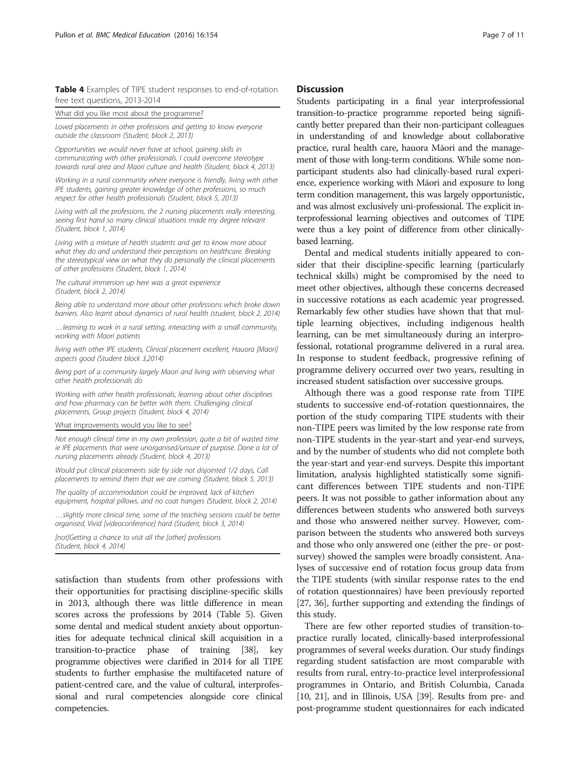<span id="page-6-0"></span>Table 4 Examples of TIPE student responses to end-of-rotation free text questions, 2013-2014

## What did you like most about the programme?

Loved placements in other professions and getting to know everyone outside the classroom (Student, block 2, 2013)

Opportunities we would never have at school, gaining skills in communicating with other professionals. I could overcome stereotype towards rural area and Maori culture and health (Student, block 4, 2013)

Working in a rural community where everyone is friendly, living with other IPE students, gaining greater knowledge of other professions, so much respect for other health professionals (Student, block 5, 2013)

Living with all the professions, the 2 nursing placements really interesting, seeing first hand so many clinical situations made my degree relevant (Student, block 1, 2014)

Living with a mixture of health students and get to know more about what they do and understand their perceptions on healthcare. Breaking the stereotypical view on what they do personally the clinical placements of other professions (Student, block 1, 2014)

The cultural immersion up here was a great experience (Student, block 2, 2014)

Being able to understand more about other professions which broke down barriers. Also learnt about dynamics of rural health (student, block 2, 2014)

…learning to work in a rural setting, interacting with a small community, working with Maori patients

living with other IPE students, Clinical placement excellent, Hauora [Maori] aspects good (Student block 3,2014)

Being part of a community largely Maori and living with observing what other health professionals do

Working with other health professionals, learning about other disciplines and how pharmacy can be better with them. Challenging clinical placements, Group projects (Student, block 4, 2014)

### What improvements would you like to see?

Not enough clinical time in my own profession, quite a bit of wasted time ie IPE placements that were unorganised/unsure of purpose. Done a lot of nursing placements already (Student, block 4, 2013)

Would put clinical placements side by side not disjointed 1/2 days, Call placements to remind them that we are coming (Student, block 5, 2013)

The quality of accommodation could be improved, lack of kitchen equipment, hospital pillows, and no coat hangers (Student, block 2, 2014)

…slightly more clinical time, some of the teaching sessions could be better organised, Vivid [videoconference] hard (Student, block 3, 2014)

[not]Getting a chance to visit all the [other] professions (Student, block 4, 2014)

satisfaction than students from other professions with their opportunities for practising discipline-specific skills in 2013, although there was little difference in mean scores across the professions by 2014 (Table [5](#page-7-0)). Given some dental and medical student anxiety about opportunities for adequate technical clinical skill acquisition in a transition-to-practice phase of training [[38](#page-10-0)], key programme objectives were clarified in 2014 for all TIPE students to further emphasise the multifaceted nature of patient-centred care, and the value of cultural, interprofessional and rural competencies alongside core clinical competencies.

## **Discussion**

Students participating in a final year interprofessional transition-to-practice programme reported being significantly better prepared than their non-participant colleagues in understanding of and knowledge about collaborative practice, rural health care, hauora Māori and the management of those with long-term conditions. While some nonparticipant students also had clinically-based rural experience, experience working with Māori and exposure to long term condition management, this was largely opportunistic, and was almost exclusively uni-professional. The explicit interprofessional learning objectives and outcomes of TIPE were thus a key point of difference from other clinicallybased learning.

Dental and medical students initially appeared to consider that their discipline-specific learning (particularly technical skills) might be compromised by the need to meet other objectives, although these concerns decreased in successive rotations as each academic year progressed. Remarkably few other studies have shown that that multiple learning objectives, including indigenous health learning, can be met simultaneously during an interprofessional, rotational programme delivered in a rural area. In response to student feedback, progressive refining of programme delivery occurred over two years, resulting in increased student satisfaction over successive groups.

Although there was a good response rate from TIPE students to successive end-of-rotation questionnaires, the portion of the study comparing TIPE students with their non-TIPE peers was limited by the low response rate from non-TIPE students in the year-start and year-end surveys, and by the number of students who did not complete both the year-start and year-end surveys. Despite this important limitation, analysis highlighted statistically some significant differences between TIPE students and non-TIPE peers. It was not possible to gather information about any differences between students who answered both surveys and those who answered neither survey. However, comparison between the students who answered both surveys and those who only answered one (either the pre- or postsurvey) showed the samples were broadly consistent. Analyses of successive end of rotation focus group data from the TIPE students (with similar response rates to the end of rotation questionnaires) have been previously reported [[27](#page-10-0), [36\]](#page-10-0), further supporting and extending the findings of this study.

There are few other reported studies of transition-topractice rurally located, clinically-based interprofessional programmes of several weeks duration. Our study findings regarding student satisfaction are most comparable with results from rural, entry-to-practice level interprofessional programmes in Ontario, and British Columbia, Canada [[10](#page-9-0), [21\]](#page-9-0), and in Illinois, USA [\[39\]](#page-10-0). Results from pre- and post-programme student questionnaires for each indicated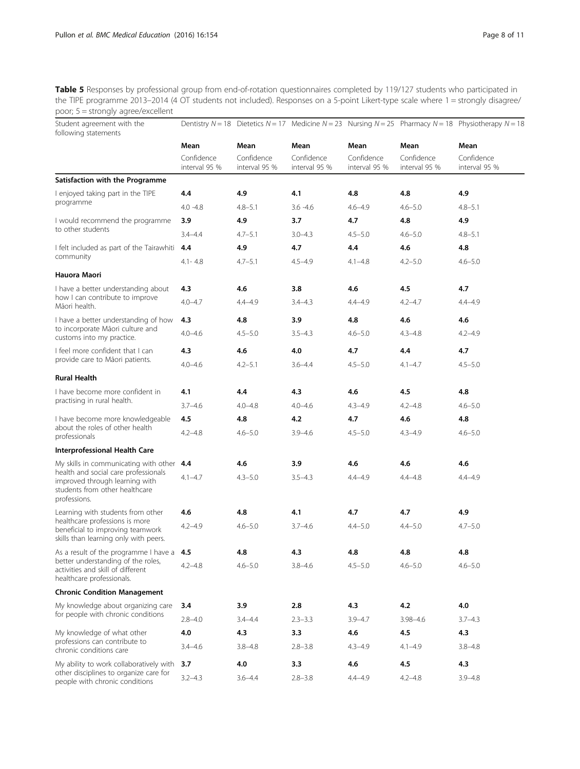<span id="page-7-0"></span>Table 5 Responses by professional group from end-of-rotation questionnaires completed by 119/127 students who participated in the TIPE programme 2013–2014 (4 OT students not included). Responses on a 5-point Likert-type scale where 1 = strongly disagree/ poor; 5 = strongly agree/excellent

| Student agreement with the<br>following statements                                                                       |                             |                             |                             |                             |                             | Dentistry $N = 18$ Dietetics $N = 17$ Medicine $N = 23$ Nursing $N = 25$ Pharmacy $N = 18$ Physiotherapy $N = 18$ |
|--------------------------------------------------------------------------------------------------------------------------|-----------------------------|-----------------------------|-----------------------------|-----------------------------|-----------------------------|-------------------------------------------------------------------------------------------------------------------|
|                                                                                                                          | Mean                        | Mean                        | Mean                        | Mean                        | Mean                        | Mean                                                                                                              |
|                                                                                                                          | Confidence<br>interval 95 % | Confidence<br>interval 95 % | Confidence<br>interval 95 % | Confidence<br>interval 95 % | Confidence<br>interval 95 % | Confidence<br>interval 95 %                                                                                       |
| Satisfaction with the Programme                                                                                          |                             |                             |                             |                             |                             |                                                                                                                   |
| I enjoyed taking part in the TIPE                                                                                        | 4.4                         | 4.9                         | 4.1                         | 4.8                         | 4.8                         | 4.9                                                                                                               |
| programme                                                                                                                | $4.0 - 4.8$                 | $4.8 - 5.1$                 | $3.6 - 4.6$                 | $4.6 - 4.9$                 | $4.6 - 5.0$                 | $4.8 - 5.1$                                                                                                       |
| I would recommend the programme                                                                                          | 3.9                         | 4.9                         | 3.7                         | 4.7                         | 4.8                         | 4.9                                                                                                               |
| to other students                                                                                                        | $3.4 - 4.4$                 | $4.7 - 5.1$                 | $3.0 - 4.3$                 | $4.5 - 5.0$                 | $4.6 - 5.0$                 | $4.8 - 5.1$                                                                                                       |
| I felt included as part of the Tairawhiti                                                                                | 4.4                         | 4.9                         | 4.7                         | 4.4                         | 4.6                         | 4.8                                                                                                               |
| community                                                                                                                | $4.1 - 4.8$                 | $4.7 - 5.1$                 | $4.5 - 4.9$                 | $4.1 - 4.8$                 | $4.2 - 5.0$                 | $4.6 - 5.0$                                                                                                       |
| <b>Hauora Maori</b>                                                                                                      |                             |                             |                             |                             |                             |                                                                                                                   |
| I have a better understanding about                                                                                      | 4.3                         | 4.6                         | 3.8                         | 4.6                         | 4.5                         | 4.7                                                                                                               |
| how I can contribute to improve<br>Māori health.                                                                         | $4.0 - 4.7$                 | $4.4 - 4.9$                 | $3.4 - 4.3$                 | $4.4 - 4.9$                 | $4.2 - 4.7$                 | $4.4 - 4.9$                                                                                                       |
| I have a better understanding of how                                                                                     | 4.3                         | 4.8                         | 3.9                         | 4.8                         | 4.6                         | 4.6                                                                                                               |
| to incorporate Māori culture and<br>customs into my practice.                                                            | $4.0 - 4.6$                 | $4.5 - 5.0$                 | $3.5 - 4.3$                 | $4.6 - 5.0$                 | $4.3 - 4.8$                 | $4.2 - 4.9$                                                                                                       |
| I feel more confident that I can                                                                                         | 4.3                         | 4.6                         | 4.0                         | 4.7                         | 4.4                         | 4.7                                                                                                               |
| provide care to Māori patients.                                                                                          | $4.0 - 4.6$                 | $4.2 - 5.1$                 | $3.6 - 4.4$                 | $4.5 - 5.0$                 | $4.1 - 4.7$                 | $4.5 - 5.0$                                                                                                       |
| <b>Rural Health</b>                                                                                                      |                             |                             |                             |                             |                             |                                                                                                                   |
| I have become more confident in                                                                                          | 4.1                         | 4.4                         | 4.3                         | 4.6                         | 4.5                         | 4.8                                                                                                               |
| practising in rural health.                                                                                              | $3.7 - 4.6$                 | $4.0 - 4.8$                 | $4.0 - 4.6$                 | $4.3 - 4.9$                 | $4.2 - 4.8$                 | $4.6 - 5.0$                                                                                                       |
| I have become more knowledgeable                                                                                         | 4.5                         | 4.8                         | 4.2                         | 4.7                         | 4.6                         | 4.8                                                                                                               |
| about the roles of other health<br>professionals                                                                         | $4.2 - 4.8$                 | $4.6 - 5.0$                 | $3.9 - 4.6$                 | $4.5 - 5.0$                 | $4.3 - 4.9$                 | $4.6 - 5.0$                                                                                                       |
| Interprofessional Health Care                                                                                            |                             |                             |                             |                             |                             |                                                                                                                   |
| My skills in communicating with other $4.4$                                                                              |                             | 4.6                         | 3.9                         | 4.6                         | 4.6                         | 4.6                                                                                                               |
| health and social care professionals<br>improved through learning with<br>students from other healthcare<br>professions. | $4.1 - 4.7$                 | $4.3 - 5.0$                 | $3.5 - 4.3$                 | $4.4 - 4.9$                 | $4.4 - 4.8$                 | $4.4 - 4.9$                                                                                                       |
| Learning with students from other                                                                                        | 4.6                         | 4.8                         | 4.1                         | 4.7                         | 4.7                         | 4.9                                                                                                               |
| healthcare professions is more<br>beneficial to improving teamwork<br>skills than learning only with peers.              | $4.2 - 4.9$                 | $4.6 - 5.0$                 | $3.7 - 4.6$                 | $4.4 - 5.0$                 | $4.4 - 5.0$                 | $4.7 - 5.0$                                                                                                       |
| As a result of the programme I have a 4.5                                                                                |                             | 4.8                         | 4.3                         | 4.8                         | 4.8                         | 4.8                                                                                                               |
| better understanding of the roles,<br>activities and skill of different<br>healthcare professionals.                     | $4.2 - 4.8$                 | $4.6 - 5.0$                 | $3.8 - 4.6$                 | $4.5 - 5.0$                 | $4.6 - 5.0$                 | $4.6 - 5.0$                                                                                                       |
| <b>Chronic Condition Management</b>                                                                                      |                             |                             |                             |                             |                             |                                                                                                                   |
| My knowledge about organizing care                                                                                       | 3.4                         | 3.9                         | 2.8                         | 4.3                         | 4.2                         | 4.0                                                                                                               |
| for people with chronic conditions                                                                                       | $2.8 - 4.0$                 | $3.4 - 4.4$                 | $2.3 - 3.3$                 | $3.9 - 4.7$                 | $3.98 - 4.6$                | $3.7 - 4.3$                                                                                                       |
| My knowledge of what other                                                                                               | 4.0                         | 4.3                         | 3.3                         | 4.6                         | 4.5                         | 4.3                                                                                                               |
| professions can contribute to<br>chronic conditions care                                                                 | $3.4 - 4.6$                 | $3.8 - 4.8$                 | $2.8 - 3.8$                 | $4.3 - 4.9$                 | $4.1 - 4.9$                 | $3.8 - 4.8$                                                                                                       |
| My ability to work collaboratively with 3.7                                                                              |                             | 4.0                         | 3.3                         | 4.6                         | 4.5                         | 4.3                                                                                                               |
| other disciplines to organize care for<br>people with chronic conditions                                                 | $3.2 - 4.3$                 | $3.6 - 4.4$                 | $2.8 - 3.8$                 | $4.4 - 4.9$                 | $4.2 - 4.8$                 | $3.9 - 4.8$                                                                                                       |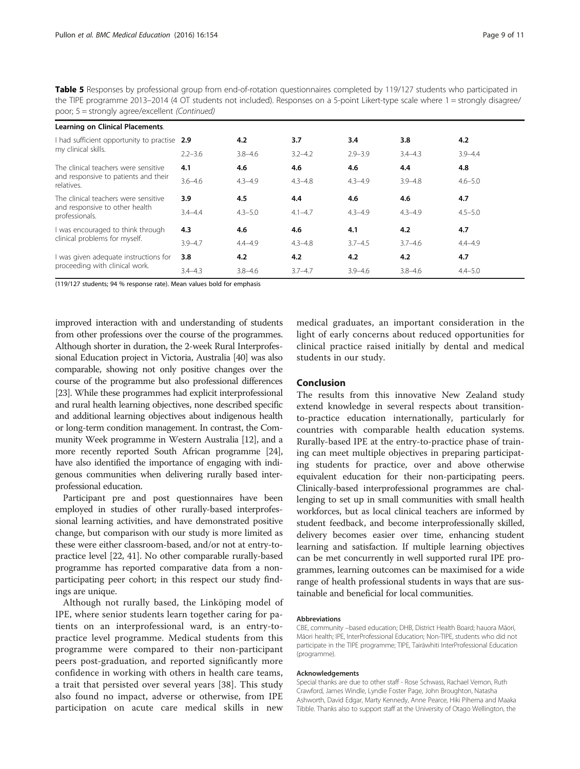Table 5 Responses by professional group from end-of-rotation questionnaires completed by 119/127 students who participated in the TIPE programme 2013–2014 (4 OT students not included). Responses on a 5-point Likert-type scale where 1 = strongly disagree/ poor; 5 = strongly agree/excellent (Continued)

| <b>Learning on Clinical Placements.</b>                                                    |             |             |             |             |             |             |
|--------------------------------------------------------------------------------------------|-------------|-------------|-------------|-------------|-------------|-------------|
| I had sufficient opportunity to practise 2.9                                               |             | 4.2         | 3.7         | 3.4         | 3.8         | 4.2         |
| my clinical skills.                                                                        | $2.2 - 3.6$ | $3.8 - 4.6$ | $3.2 - 4.2$ | $2.9 - 3.9$ | $3.4 - 4.3$ | $3.9 - 4.4$ |
| The clinical teachers were sensitive<br>and responsive to patients and their<br>relatives. | 4.1         | 4.6         | 4.6         | 4.6         | 4.4         | 4.8         |
|                                                                                            | $3.6 - 4.6$ | $4.3 - 4.9$ | $4.3 - 4.8$ | $4.3 - 4.9$ | $3.9 - 4.8$ | $4.6 - 5.0$ |
| The clinical teachers were sensitive<br>and responsive to other health<br>professionals.   | 3.9         | 4.5         | 4.4         | 4.6         | 4.6         | 4.7         |
|                                                                                            | $3.4 - 4.4$ | $4.3 - 5.0$ | $4.1 - 4.7$ | $4.3 - 4.9$ | $4.3 - 4.9$ | $4.5 - 5.0$ |
| I was encouraged to think through                                                          | 4.3         | 4.6         | 4.6         | 4.1         | 4.2         | 4.7         |
| clinical problems for myself.                                                              | $3.9 - 4.7$ | $4.4 - 4.9$ | $4.3 - 4.8$ | $3.7 - 4.5$ | $3.7 - 4.6$ | $4.4 - 4.9$ |
| I was given adequate instructions for                                                      | 3.8         | 4.2         | 4.2         | 4.2         | 4.2         | 4.7         |
| proceeding with clinical work.                                                             | $3.4 - 4.3$ | $3.8 - 4.6$ | $3.7 - 4.7$ | $3.9 - 4.6$ | $3.8 - 4.6$ | $4.4 - 5.0$ |

(119/127 students; 94 % response rate). Mean values bold for emphasis

improved interaction with and understanding of students from other professions over the course of the programmes. Although shorter in duration, the 2-week Rural Interprofessional Education project in Victoria, Australia [\[40\]](#page-10-0) was also comparable, showing not only positive changes over the course of the programme but also professional differences [[23](#page-9-0)]. While these programmes had explicit interprofessional and rural health learning objectives, none described specific and additional learning objectives about indigenous health or long-term condition management. In contrast, the Community Week programme in Western Australia [\[12\]](#page-9-0), and a more recently reported South African programme [\[24](#page-9-0)], have also identified the importance of engaging with indigenous communities when delivering rurally based interprofessional education.

Participant pre and post questionnaires have been employed in studies of other rurally-based interprofessional learning activities, and have demonstrated positive change, but comparison with our study is more limited as these were either classroom-based, and/or not at entry-topractice level [[22](#page-9-0), [41](#page-10-0)]. No other comparable rurally-based programme has reported comparative data from a nonparticipating peer cohort; in this respect our study findings are unique.

Although not rurally based, the Linköping model of IPE, where senior students learn together caring for patients on an interprofessional ward, is an entry-topractice level programme. Medical students from this programme were compared to their non-participant peers post-graduation, and reported significantly more confidence in working with others in health care teams, a trait that persisted over several years [\[38](#page-10-0)]. This study also found no impact, adverse or otherwise, from IPE participation on acute care medical skills in new

medical graduates, an important consideration in the light of early concerns about reduced opportunities for clinical practice raised initially by dental and medical students in our study.

## Conclusion

The results from this innovative New Zealand study extend knowledge in several respects about transitionto-practice education internationally, particularly for countries with comparable health education systems. Rurally-based IPE at the entry-to-practice phase of training can meet multiple objectives in preparing participating students for practice, over and above otherwise equivalent education for their non-participating peers. Clinically-based interprofessional programmes are challenging to set up in small communities with small health workforces, but as local clinical teachers are informed by student feedback, and become interprofessionally skilled, delivery becomes easier over time, enhancing student learning and satisfaction. If multiple learning objectives can be met concurrently in well supported rural IPE programmes, learning outcomes can be maximised for a wide range of health professional students in ways that are sustainable and beneficial for local communities.

## Abbreviations

CBE, community –based education; DHB, District Health Board; hauora Māori, Māori health; IPE, InterProfessional Education; Non-TIPE, students who did not participate in the TIPE programme; TIPE, Tairāwhiti InterProfessional Education (programme).

#### Acknowledgements

Special thanks are due to other staff - Rose Schwass, Rachael Vernon, Ruth Crawford, James Windle, Lyndie Foster Page, John Broughton, Natasha Ashworth, David Edgar, Marty Kennedy, Anne Pearce, Hiki Pihema and Maaka Tibble. Thanks also to support staff at the University of Otago Wellington, the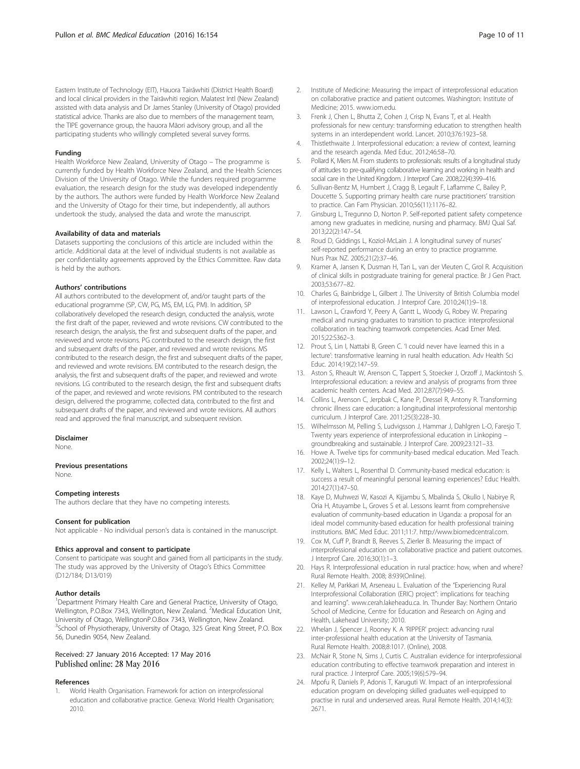<span id="page-9-0"></span>Eastern Institute of Technology (EIT), Hauora Tairāwhiti (District Health Board) and local clinical providers in the Tairāwhiti region. Malatest Intl (New Zealand) assisted with data analysis and Dr James Stanley (University of Otago) provided statistical advice. Thanks are also due to members of the management team, the TIPE governance group, the hauora Māori advisory group, and all the participating students who willingly completed several survey forms.

#### Funding

Health Workforce New Zealand, University of Otago – The programme is currently funded by Health Workforce New Zealand, and the Health Sciences Division of the University of Otago. While the funders required programme evaluation, the research design for the study was developed independently by the authors. The authors were funded by Health Workforce New Zealand and the University of Otago for their time, but independently, all authors undertook the study, analysed the data and wrote the manuscript.

## Availability of data and materials

Datasets supporting the conclusions of this article are included within the article. Additional data at the level of individual students is not available as per confidentiality agreements approved by the Ethics Committee. Raw data is held by the authors.

## Authors' contributions

All authors contributed to the development of, and/or taught parts of the educational programme (SP, CW, PG, MS, EM, LG, PM). In addition, SP collaboratively developed the research design, conducted the analysis, wrote the first draft of the paper, reviewed and wrote revisions. CW contributed to the research design, the analysis, the first and subsequent drafts of the paper, and reviewed and wrote revisions. PG contributed to the research design, the first and subsequent drafts of the paper, and reviewed and wrote revisions. MS contributed to the research design, the first and subsequent drafts of the paper, and reviewed and wrote revisions. EM contributed to the research design, the analysis, the first and subsequent drafts of the paper, and reviewed and wrote revisions. LG contributed to the research design, the first and subsequent drafts of the paper, and reviewed and wrote revisions. PM contributed to the research design, delivered the programme, collected data, contributed to the first and subsequent drafts of the paper, and reviewed and wrote revisions. All authors read and approved the final manuscript, and subsequent revision.

#### Disclaimer

None.

## Previous presentations

None.

### Competing interests

The authors declare that they have no competing interests.

#### Consent for publication

Not applicable - No individual person's data is contained in the manuscript.

## Ethics approval and consent to participate

Consent to participate was sought and gained from all participants in the study. The study was approved by the University of Otago's Ethics Committee (D12/184; D13/019)

#### Author details

<sup>1</sup>Department Primary Health Care and General Practice, University of Otago, Wellington, P.O.Box 7343, Wellington, New Zealand. <sup>2</sup>Medical Education Unit, University of Otago, WellingtonP.O.Box 7343, Wellington, New Zealand. <sup>3</sup>School of Physiotherapy, University of Otago, 325 Great King Street, P.O. Box 56, Dunedin 9054, New Zealand.

## Received: 27 January 2016 Accepted: 17 May 2016 Published online: 28 May 2016

#### References

1. World Health Organisation. Framework for action on interprofessional education and collaborative practice. Geneva: World Health Organisation; 2010.

- 3. Frenk J, Chen L, Bhutta Z, Cohen J, Crisp N, Evans T, et al. Health professionals for new century: transforming education to strengthen health systems in an interdependent world. Lancet. 2010;376:1923–58.
- 4. Thistlethwaite J. Interprofessional education: a review of context, learning and the research agenda. Med Educ. 2012;46:58–70.
- 5. Pollard K, Miers M. From students to professionals: results of a longitudinal study of attitudes to pre-qualifying collaborative learning and working in health and social care in the United Kingdom. J Interprof Care. 2008;22(4):399–416.
- 6. Sullivan-Bentz M, Humbert J, Cragg B, Legault F, Laflamme C, Bailey P, Doucette S. Supporting primary health care nurse practitioners' transition to practice. Can Fam Physician. 2010;56(11):1176–82.
- 7. Ginsburg L, Tregunno D, Norton P. Self-reported patient safety competence among new graduates in medicine, nursing and pharmacy. BMJ Qual Saf. 2013;22(2):147–54.
- 8. Roud D, Giddings L, Koziol-McLain J. A longitudinal survey of nurses' self-reported performance during an entry to practice programme. Nurs Prax NZ. 2005;21(2):37–46.
- 9. Kramer A, Jansen K, Dusman H, Tan L, van der Vleuten C, Grol R. Acquisition of clinical skills in postgraduate training for general practice. Br J Gen Pract. 2003;53:677–82.
- 10. Charles G, Bainbridge L, Gilbert J. The University of British Columbia model of interprofessional education. J Interprof Care. 2010;24(1):9–18.
- 11. Lawson L, Crawford Y, Peery A, Gantt L, Woody G, Robey W. Preparing medical and nursing graduates to transition to practice: interprofessional collaboration in teaching teamwork competencies. Acad Emer Med. 2015;22:S362–3.
- 12. Prout S, Lin I, Nattabi B, Green C. 'I could never have learned this in a lecture': transformative learning in rural health education. Adv Health Sci Educ. 2014;19(2):147–59.
- 13. Aston S, Rheault W, Arenson C, Tappert S, Stoecker J, Orzoff J, Mackintosh S. Interprofessional education: a review and analysis of programs from three academic health centers. Acad Med. 2012;87(7):949–55.
- 14. Collins L, Arenson C, Jerpbak C, Kane P, Dressel R, Antony R. Transforming chronic illness care education: a longitudinal interprofessional mentorship curriculum. J Interprof Care. 2011;25(3):228–30.
- 15. Wilhelmsson M, Pelling S, Ludvigsson J, Hammar J, Dahlgren L-O, Faresjo T. Twenty years experience of interprofessional education in Linkoping – groundbreaking and sustainable. J Interprof Care. 2009;23:121–33.
- 16. Howe A. Twelve tips for community-based medical education. Med Teach. 2002;24(1):9–12.
- 17. Kelly L, Walters L, Rosenthal D. Community-based medical education: is success a result of meaningful personal learning experiences? Educ Health. 2014;27(1):47–50.
- 18. Kaye D, Muhwezi W, Kasozi A, Kijjambu S, Mbalinda S, Okullo I, Nabirye R, Oria H, Atuyambe L, Groves S et al. Lessons learnt from comprehensive evaluation of community-based education in Uganda: a proposal for an ideal model community-based education for health professional training institutions. BMC Med Educ. 2011;11:7. [http://www.biomedcentral.com.](http://www.biomedcentral.com)
- 19. Cox M, Cuff P, Brandt B, Reeves S, Zierler B. Measuring the impact of interprofessional education on collaborative practice and patient outcomes. J Interprof Care. 2016;30(1):1–3.
- 20. Hays R. Interprofessional education in rural practice: how, when and where? Rural Remote Health. 2008; 8:939(Online).
- 21. Kelley M, Parkkari M, Arseneau L. Evaluation of the "Experiencing Rural Interprofessional Collaboration (ERIC) project": implications for teaching and learning". [www.cerah.lakeheadu.ca.](http://www.cerah.lakeheadu.ca/) In. Thunder Bay: Northern Ontario School of Medicine, Centre for Education and Research on Aging and Health, Lakehead University; 2010.
- 22. Whelan J, Spencer J, Rooney K. A 'RIPPER' project: advancing rural inter-professional health education at the University of Tasmania. Rural Remote Health. 2008;8:1017. (Online), 2008.
- 23. McNair R, Stone N, Sims J, Curtis C. Australian evidence for interprofessional education contributing to effective teamwork preparation and interest in rural practice. J Interprof Care. 2005;19(6):579–94.
- 24. Mpofu R, Daniels P, Adonis T, Karuguti W. Impact of an interprofessional education program on developing skilled graduates well-equipped to practise in rural and underserved areas. Rural Remote Health. 2014;14(3): 2671.